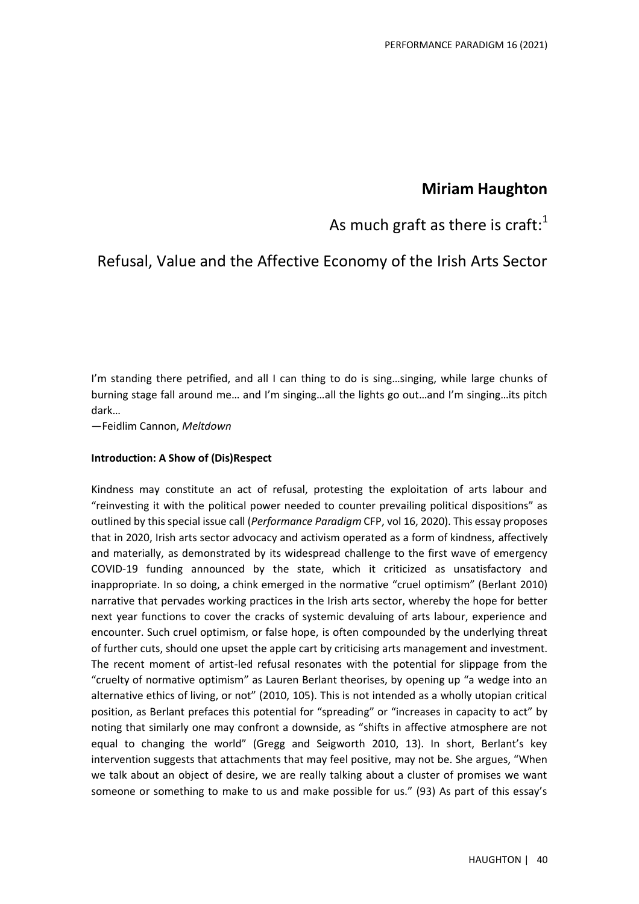## **Miriam Haughton**

# As much graft as there is craft: $^1$

# Refusal, Value and the Affective Economy of the Irish Arts Sector

I'm standing there petrified, and all I can thing to do is sing...singing, while large chunks of burning stage fall around me… and I'm singing…all the lights go out…and I'm singing…its pitch dark…

—Feidlim Cannon, *Meltdown*

## **Introduction: A Show of (Dis)Respect**

Kindness may constitute an act of refusal, protesting the exploitation of arts labour and "reinvesting it with the political power needed to counter prevailing political dispositions" as outlined by this special issue call (*Performance Paradigm* CFP, vol 16, 2020). This essay proposes that in 2020, Irish arts sector advocacy and activism operated as a form of kindness, affectively and materially, as demonstrated by its widespread challenge to the first wave of emergency COVID-19 funding announced by the state, which it criticized as unsatisfactory and inappropriate. In so doing, a chink emerged in the normative "cruel optimism" (Berlant 2010) narrative that pervades working practices in the Irish arts sector, whereby the hope for better next year functions to cover the cracks of systemic devaluing of arts labour, experience and encounter. Such cruel optimism, or false hope, is often compounded by the underlying threat of further cuts, should one upset the apple cart by criticising arts management and investment. The recent moment of artist-led refusal resonates with the potential for slippage from the "cruelty of normative optimism" as Lauren Berlant theorises, by opening up "a wedge into an alternative ethics of living, or not" (2010, 105). This is not intended as a wholly utopian critical position, as Berlant prefaces this potential for "spreading" or "increases in capacity to act" by noting that similarly one may confront a downside, as "shifts in affective atmosphere are not equal to changing the world" (Gregg and Seigworth 2010, 13). In short, Berlant's key intervention suggests that attachments that may feel positive, may not be. She argues, "When we talk about an object of desire, we are really talking about a cluster of promises we want someone or something to make to us and make possible for us." (93) As part of this essay's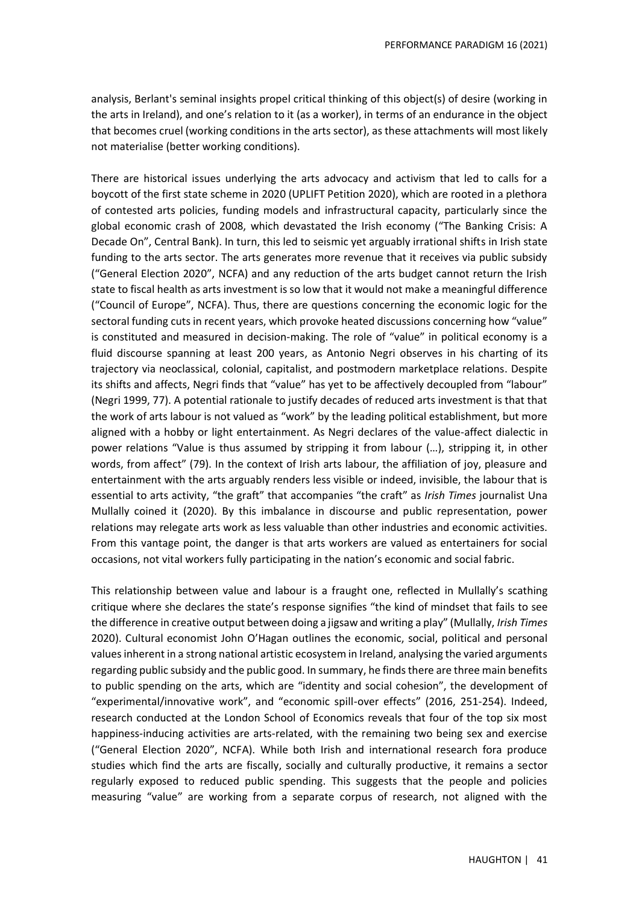analysis, Berlant's seminal insights propel critical thinking of this object(s) of desire (working in the arts in Ireland), and one's relation to it (as a worker), in terms of an endurance in the object that becomes cruel (working conditions in the arts sector), as these attachments will most likely not materialise (better working conditions).

There are historical issues underlying the arts advocacy and activism that led to calls for a boycott of the first state scheme in 2020 (UPLIFT Petition 2020), which are rooted in a plethora of contested arts policies, funding models and infrastructural capacity, particularly since the global economic crash of 2008, which devastated the Irish economy ("The Banking Crisis: A Decade On", Central Bank). In turn, this led to seismic yet arguably irrational shifts in Irish state funding to the arts sector. The arts generates more revenue that it receives via public subsidy ("General Election 2020", NCFA) and any reduction of the arts budget cannot return the Irish state to fiscal health as arts investment is so low that it would not make a meaningful difference ("Council of Europe", NCFA). Thus, there are questions concerning the economic logic for the sectoral funding cuts in recent years, which provoke heated discussions concerning how "value" is constituted and measured in decision-making. The role of "value" in political economy is a fluid discourse spanning at least 200 years, as Antonio Negri observes in his charting of its trajectory via neoclassical, colonial, capitalist, and postmodern marketplace relations. Despite its shifts and affects, Negri finds that "value" has yet to be affectively decoupled from "labour" (Negri 1999, 77). A potential rationale to justify decades of reduced arts investment is that that the work of arts labour is not valued as "work" by the leading political establishment, but more aligned with a hobby or light entertainment. As Negri declares of the value-affect dialectic in power relations "Value is thus assumed by stripping it from labour (…), stripping it, in other words, from affect" (79). In the context of Irish arts labour, the affiliation of joy, pleasure and entertainment with the arts arguably renders less visible or indeed, invisible, the labour that is essential to arts activity, "the graft" that accompanies "the craft" as *Irish Times* journalist Una Mullally coined it (2020). By this imbalance in discourse and public representation, power relations may relegate arts work as less valuable than other industries and economic activities. From this vantage point, the danger is that arts workers are valued as entertainers for social occasions, not vital workers fully participating in the nation's economic and social fabric.

This relationship between value and labour is a fraught one, reflected in Mullally's scathing critique where she declares the state's response signifies "the kind of mindset that fails to see the difference in creative output between doing a jigsaw and writing a play" (Mullally, *Irish Times* 2020). Cultural economist John O'Hagan outlines the economic, social, political and personal values inherent in a strong national artistic ecosystem in Ireland, analysing the varied arguments regarding public subsidy and the public good. In summary, he finds there are three main benefits to public spending on the arts, which are "identity and social cohesion", the development of "experimental/innovative work", and "economic spill-over effects" (2016, 251-254). Indeed, research conducted at the London School of Economics reveals that four of the top six most happiness-inducing activities are arts-related, with the remaining two being sex and exercise ("General Election 2020", NCFA). While both Irish and international research fora produce studies which find the arts are fiscally, socially and culturally productive, it remains a sector regularly exposed to reduced public spending. This suggests that the people and policies measuring "value" are working from a separate corpus of research, not aligned with the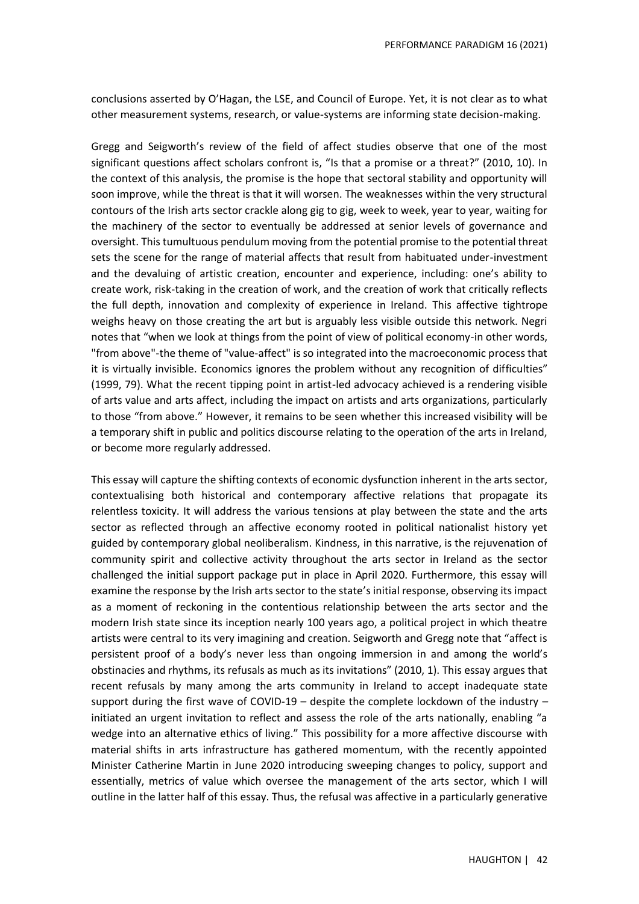conclusions asserted by O'Hagan, the LSE, and Council of Europe. Yet, it is not clear as to what other measurement systems, research, or value-systems are informing state decision-making.

Gregg and Seigworth's review of the field of affect studies observe that one of the most significant questions affect scholars confront is, "Is that a promise or a threat?" (2010, 10). In the context of this analysis, the promise is the hope that sectoral stability and opportunity will soon improve, while the threat is that it will worsen. The weaknesses within the very structural contours of the Irish arts sector crackle along gig to gig, week to week, year to year, waiting for the machinery of the sector to eventually be addressed at senior levels of governance and oversight. This tumultuous pendulum moving from the potential promise to the potential threat sets the scene for the range of material affects that result from habituated under-investment and the devaluing of artistic creation, encounter and experience, including: one's ability to create work, risk-taking in the creation of work, and the creation of work that critically reflects the full depth, innovation and complexity of experience in Ireland. This affective tightrope weighs heavy on those creating the art but is arguably less visible outside this network. Negri notes that "when we look at things from the point of view of political economy-in other words, "from above"-the theme of "value-affect" is so integrated into the macroeconomic process that it is virtually invisible. Economics ignores the problem without any recognition of difficulties" (1999, 79). What the recent tipping point in artist-led advocacy achieved is a rendering visible of arts value and arts affect, including the impact on artists and arts organizations, particularly to those "from above." However, it remains to be seen whether this increased visibility will be a temporary shift in public and politics discourse relating to the operation of the arts in Ireland, or become more regularly addressed.

This essay will capture the shifting contexts of economic dysfunction inherent in the arts sector, contextualising both historical and contemporary affective relations that propagate its relentless toxicity. It will address the various tensions at play between the state and the arts sector as reflected through an affective economy rooted in political nationalist history yet guided by contemporary global neoliberalism. Kindness, in this narrative, is the rejuvenation of community spirit and collective activity throughout the arts sector in Ireland as the sector challenged the initial support package put in place in April 2020. Furthermore, this essay will examine the response by the Irish arts sector to the state's initial response, observing its impact as a moment of reckoning in the contentious relationship between the arts sector and the modern Irish state since its inception nearly 100 years ago, a political project in which theatre artists were central to its very imagining and creation. Seigworth and Gregg note that "affect is persistent proof of a body's never less than ongoing immersion in and among the world's obstinacies and rhythms, its refusals as much as its invitations" (2010, 1). This essay argues that recent refusals by many among the arts community in Ireland to accept inadequate state support during the first wave of COVID-19 – despite the complete lockdown of the industry – initiated an urgent invitation to reflect and assess the role of the arts nationally, enabling "a wedge into an alternative ethics of living." This possibility for a more affective discourse with material shifts in arts infrastructure has gathered momentum, with the recently appointed Minister Catherine Martin in June 2020 introducing sweeping changes to policy, support and essentially, metrics of value which oversee the management of the arts sector, which I will outline in the latter half of this essay. Thus, the refusal was affective in a particularly generative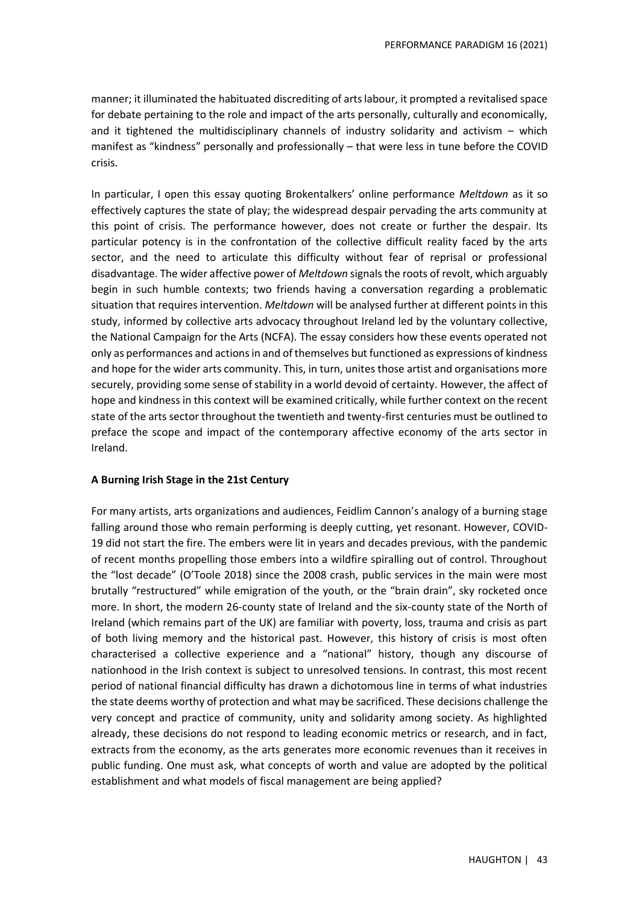manner; it illuminated the habituated discrediting of arts labour, it prompted a revitalised space for debate pertaining to the role and impact of the arts personally, culturally and economically, and it tightened the multidisciplinary channels of industry solidarity and activism – which manifest as "kindness" personally and professionally – that were less in tune before the COVID crisis.

In particular, I open this essay quoting Brokentalkers' online performance *Meltdown* as it so effectively captures the state of play; the widespread despair pervading the arts community at this point of crisis. The performance however, does not create or further the despair. Its particular potency is in the confrontation of the collective difficult reality faced by the arts sector, and the need to articulate this difficulty without fear of reprisal or professional disadvantage. The wider affective power of *Meltdown* signals the roots of revolt, which arguably begin in such humble contexts; two friends having a conversation regarding a problematic situation that requires intervention. *Meltdown* will be analysed further at different points in this study, informed by collective arts advocacy throughout Ireland led by the voluntary collective, the National Campaign for the Arts (NCFA). The essay considers how these events operated not only as performances and actions in and of themselves but functioned as expressions of kindness and hope for the wider arts community. This, in turn, unites those artist and organisations more securely, providing some sense of stability in a world devoid of certainty. However, the affect of hope and kindness in this context will be examined critically, while further context on the recent state of the arts sector throughout the twentieth and twenty-first centuries must be outlined to preface the scope and impact of the contemporary affective economy of the arts sector in Ireland.

### **A Burning Irish Stage in the 21st Century**

For many artists, arts organizations and audiences, Feidlim Cannon's analogy of a burning stage falling around those who remain performing is deeply cutting, yet resonant. However, COVID-19 did not start the fire. The embers were lit in years and decades previous, with the pandemic of recent months propelling those embers into a wildfire spiralling out of control. Throughout the "lost decade" (O'Toole 2018) since the 2008 crash, public services in the main were most brutally "restructured" while emigration of the youth, or the "brain drain", sky rocketed once more. In short, the modern 26-county state of Ireland and the six-county state of the North of Ireland (which remains part of the UK) are familiar with poverty, loss, trauma and crisis as part of both living memory and the historical past. However, this history of crisis is most often characterised a collective experience and a "national" history, though any discourse of nationhood in the Irish context is subject to unresolved tensions. In contrast, this most recent period of national financial difficulty has drawn a dichotomous line in terms of what industries the state deems worthy of protection and what may be sacrificed. These decisions challenge the very concept and practice of community, unity and solidarity among society. As highlighted already, these decisions do not respond to leading economic metrics or research, and in fact, extracts from the economy, as the arts generates more economic revenues than it receives in public funding. One must ask, what concepts of worth and value are adopted by the political establishment and what models of fiscal management are being applied?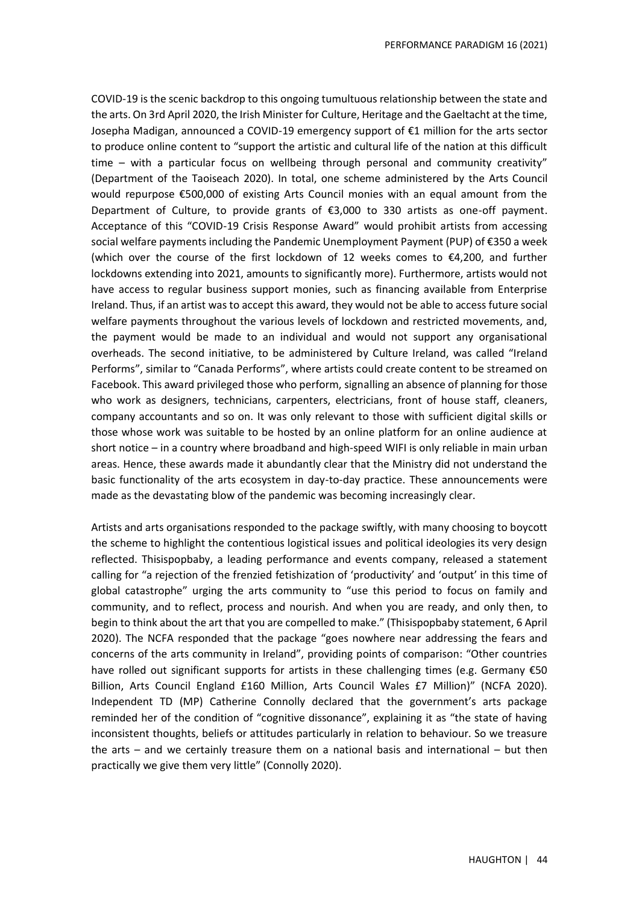COVID-19 is the scenic backdrop to this ongoing tumultuous relationship between the state and the arts. On 3rd April 2020, the Irish Minister for Culture, Heritage and the Gaeltacht at the time, Josepha Madigan, announced a COVID-19 emergency support of €1 million for the arts sector to produce online content to "support the artistic and cultural life of the nation at this difficult time – with a particular focus on wellbeing through personal and community creativity" (Department of the Taoiseach 2020). In total, one scheme administered by the Arts Council would repurpose €500,000 of existing Arts Council monies with an equal amount from the Department of Culture, to provide grants of €3,000 to 330 artists as one-off payment. Acceptance of this "COVID-19 Crisis Response Award" would prohibit artists from accessing social welfare payments including the Pandemic Unemployment Payment (PUP) of €350 a week (which over the course of the first lockdown of 12 weeks comes to €4,200, and further lockdowns extending into 2021, amounts to significantly more). Furthermore, artists would not have access to regular business support monies, such as financing available from Enterprise Ireland. Thus, if an artist was to accept this award, they would not be able to access future social welfare payments throughout the various levels of lockdown and restricted movements, and, the payment would be made to an individual and would not support any organisational overheads. The second initiative, to be administered by Culture Ireland, was called "Ireland Performs", similar to "Canada Performs", where artists could create content to be streamed on Facebook. This award privileged those who perform, signalling an absence of planning for those who work as designers, technicians, carpenters, electricians, front of house staff, cleaners, company accountants and so on. It was only relevant to those with sufficient digital skills or those whose work was suitable to be hosted by an online platform for an online audience at short notice – in a country where broadband and high-speed WIFI is only reliable in main urban areas. Hence, these awards made it abundantly clear that the Ministry did not understand the basic functionality of the arts ecosystem in day-to-day practice. These announcements were made as the devastating blow of the pandemic was becoming increasingly clear.

Artists and arts organisations responded to the package swiftly, with many choosing to boycott the scheme to highlight the contentious logistical issues and political ideologies its very design reflected. Thisispopbaby, a leading performance and events company, released a statement calling for "a rejection of the frenzied fetishization of 'productivity' and 'output' in this time of global catastrophe" urging the arts community to "use this period to focus on family and community, and to reflect, process and nourish. And when you are ready, and only then, to begin to think about the art that you are compelled to make." (Thisispopbaby statement, 6 April 2020). The NCFA responded that the package "goes nowhere near addressing the fears and concerns of the arts community in Ireland", providing points of comparison: "Other countries have rolled out significant supports for artists in these challenging times (e.g. Germany €50 Billion, Arts Council England £160 Million, Arts Council Wales £7 Million)" (NCFA 2020). Independent TD (MP) Catherine Connolly declared that the government's arts package reminded her of the condition of "cognitive dissonance", explaining it as "the state of having inconsistent thoughts, beliefs or attitudes particularly in relation to behaviour. So we treasure the arts – and we certainly treasure them on a national basis and international – but then practically we give them very little" (Connolly 2020).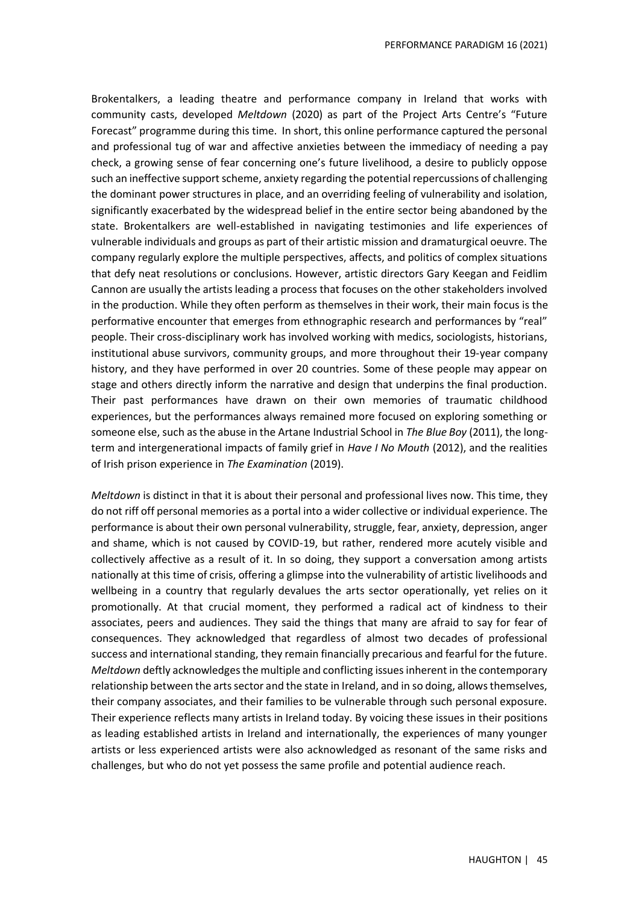Brokentalkers, a leading theatre and performance company in Ireland that works with community casts, developed *Meltdown* (2020) as part of the Project Arts Centre's "Future Forecast" programme during this time. In short, this online performance captured the personal and professional tug of war and affective anxieties between the immediacy of needing a pay check, a growing sense of fear concerning one's future livelihood, a desire to publicly oppose such an ineffective support scheme, anxiety regarding the potential repercussions of challenging the dominant power structures in place, and an overriding feeling of vulnerability and isolation, significantly exacerbated by the widespread belief in the entire sector being abandoned by the state. Brokentalkers are well-established in navigating testimonies and life experiences of vulnerable individuals and groups as part of their artistic mission and dramaturgical oeuvre. The company regularly explore the multiple perspectives, affects, and politics of complex situations that defy neat resolutions or conclusions. However, artistic directors Gary Keegan and Feidlim Cannon are usually the artists leading a process that focuses on the other stakeholders involved in the production. While they often perform as themselves in their work, their main focus is the performative encounter that emerges from ethnographic research and performances by "real" people. Their cross-disciplinary work has involved working with medics, sociologists, historians, institutional abuse survivors, community groups, and more throughout their 19-year company history, and they have performed in over 20 countries. Some of these people may appear on stage and others directly inform the narrative and design that underpins the final production. Their past performances have drawn on their own memories of traumatic childhood experiences, but the performances always remained more focused on exploring something or someone else, such as the abuse in the Artane Industrial School in *The Blue Boy* (2011), the longterm and intergenerational impacts of family grief in *Have I No Mouth* (2012), and the realities of Irish prison experience in *The Examination* (2019).

*Meltdown* is distinct in that it is about their personal and professional lives now. This time, they do not riff off personal memories as a portal into a wider collective or individual experience. The performance is about their own personal vulnerability, struggle, fear, anxiety, depression, anger and shame, which is not caused by COVID-19, but rather, rendered more acutely visible and collectively affective as a result of it. In so doing, they support a conversation among artists nationally at this time of crisis, offering a glimpse into the vulnerability of artistic livelihoods and wellbeing in a country that regularly devalues the arts sector operationally, yet relies on it promotionally. At that crucial moment, they performed a radical act of kindness to their associates, peers and audiences. They said the things that many are afraid to say for fear of consequences. They acknowledged that regardless of almost two decades of professional success and international standing, they remain financially precarious and fearful for the future. *Meltdown* deftly acknowledges the multiple and conflicting issues inherent in the contemporary relationship between the arts sector and the state in Ireland, and in so doing, allows themselves, their company associates, and their families to be vulnerable through such personal exposure. Their experience reflects many artists in Ireland today. By voicing these issues in their positions as leading established artists in Ireland and internationally, the experiences of many younger artists or less experienced artists were also acknowledged as resonant of the same risks and challenges, but who do not yet possess the same profile and potential audience reach.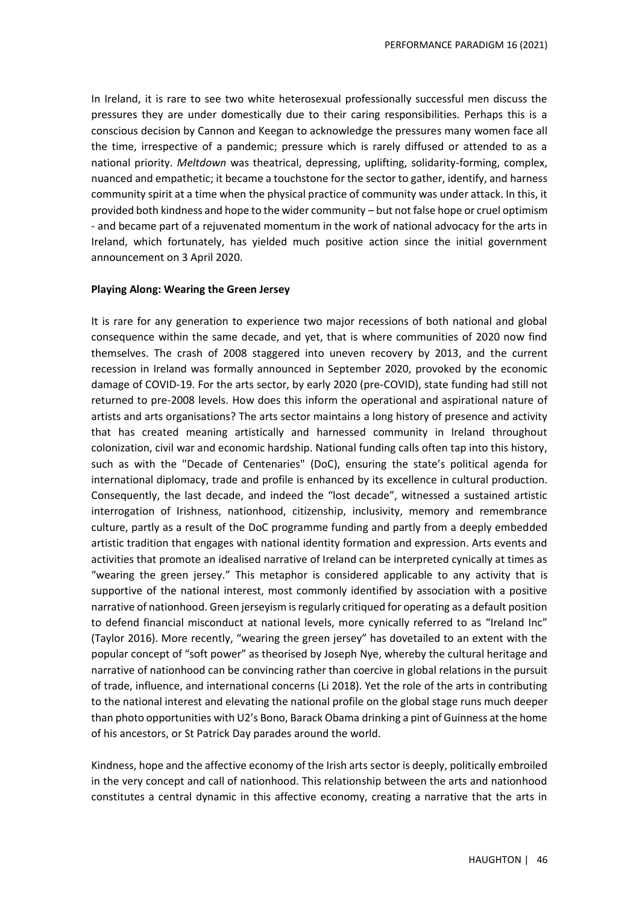In Ireland, it is rare to see two white heterosexual professionally successful men discuss the pressures they are under domestically due to their caring responsibilities. Perhaps this is a conscious decision by Cannon and Keegan to acknowledge the pressures many women face all the time, irrespective of a pandemic; pressure which is rarely diffused or attended to as a national priority. *Meltdown* was theatrical, depressing, uplifting, solidarity-forming, complex, nuanced and empathetic; it became a touchstone for the sector to gather, identify, and harness community spirit at a time when the physical practice of community was under attack. In this, it provided both kindness and hope to the wider community – but not false hope or cruel optimism - and became part of a rejuvenated momentum in the work of national advocacy for the arts in Ireland, which fortunately, has yielded much positive action since the initial government announcement on 3 April 2020.

#### **Playing Along: Wearing the Green Jersey**

It is rare for any generation to experience two major recessions of both national and global consequence within the same decade, and yet, that is where communities of 2020 now find themselves. The crash of 2008 staggered into uneven recovery by 2013, and the current recession in Ireland was formally announced in September 2020, provoked by the economic damage of COVID-19. For the arts sector, by early 2020 (pre-COVID), state funding had still not returned to pre-2008 levels. How does this inform the operational and aspirational nature of artists and arts organisations? The arts sector maintains a long history of presence and activity that has created meaning artistically and harnessed community in Ireland throughout colonization, civil war and economic hardship. National funding calls often tap into this history, such as with the "Decade of Centenaries" (DoC), ensuring the state's political agenda for international diplomacy, trade and profile is enhanced by its excellence in cultural production. Consequently, the last decade, and indeed the "lost decade", witnessed a sustained artistic interrogation of Irishness, nationhood, citizenship, inclusivity, memory and remembrance culture, partly as a result of the DoC programme funding and partly from a deeply embedded artistic tradition that engages with national identity formation and expression. Arts events and activities that promote an idealised narrative of Ireland can be interpreted cynically at times as "wearing the green jersey." This metaphor is considered applicable to any activity that is supportive of the national interest, most commonly identified by association with a positive narrative of nationhood. Green jerseyism is regularly critiqued for operating as a default position to defend financial misconduct at national levels, more cynically referred to as "Ireland Inc" (Taylor 2016). More recently, "wearing the green jersey" has dovetailed to an extent with the popular concept of "soft power" as theorised by Joseph Nye, whereby the cultural heritage and narrative of nationhood can be convincing rather than coercive in global relations in the pursuit of trade, influence, and international concerns (Li 2018). Yet the role of the arts in contributing to the national interest and elevating the national profile on the global stage runs much deeper than photo opportunities with U2's Bono, Barack Obama drinking a pint of Guinness at the home of his ancestors, or St Patrick Day parades around the world.

Kindness, hope and the affective economy of the Irish arts sector is deeply, politically embroiled in the very concept and call of nationhood. This relationship between the arts and nationhood constitutes a central dynamic in this affective economy, creating a narrative that the arts in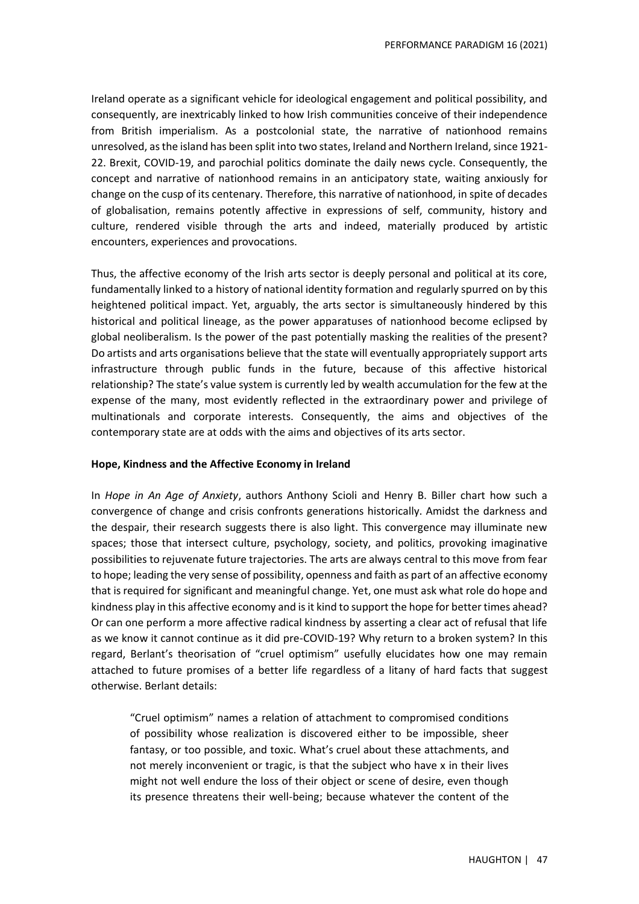Ireland operate as a significant vehicle for ideological engagement and political possibility, and consequently, are inextricably linked to how Irish communities conceive of their independence from British imperialism. As a postcolonial state, the narrative of nationhood remains unresolved, as the island has been split into two states, Ireland and Northern Ireland, since 1921- 22. Brexit, COVID-19, and parochial politics dominate the daily news cycle. Consequently, the concept and narrative of nationhood remains in an anticipatory state, waiting anxiously for change on the cusp of its centenary. Therefore, this narrative of nationhood, in spite of decades of globalisation, remains potently affective in expressions of self, community, history and culture, rendered visible through the arts and indeed, materially produced by artistic encounters, experiences and provocations.

Thus, the affective economy of the Irish arts sector is deeply personal and political at its core, fundamentally linked to a history of national identity formation and regularly spurred on by this heightened political impact. Yet, arguably, the arts sector is simultaneously hindered by this historical and political lineage, as the power apparatuses of nationhood become eclipsed by global neoliberalism. Is the power of the past potentially masking the realities of the present? Do artists and arts organisations believe that the state will eventually appropriately support arts infrastructure through public funds in the future, because of this affective historical relationship? The state's value system is currently led by wealth accumulation for the few at the expense of the many, most evidently reflected in the extraordinary power and privilege of multinationals and corporate interests. Consequently, the aims and objectives of the contemporary state are at odds with the aims and objectives of its arts sector.

### **Hope, Kindness and the Affective Economy in Ireland**

In *Hope in An Age of Anxiety*, authors Anthony Scioli and Henry B. Biller chart how such a convergence of change and crisis confronts generations historically. Amidst the darkness and the despair, their research suggests there is also light. This convergence may illuminate new spaces; those that intersect culture, psychology, society, and politics, provoking imaginative possibilities to rejuvenate future trajectories. The arts are always central to this move from fear to hope; leading the very sense of possibility, openness and faith as part of an affective economy that is required for significant and meaningful change. Yet, one must ask what role do hope and kindness play in this affective economy and is it kind to support the hope for better times ahead? Or can one perform a more affective radical kindness by asserting a clear act of refusal that life as we know it cannot continue as it did pre-COVID-19? Why return to a broken system? In this regard, Berlant's theorisation of "cruel optimism" usefully elucidates how one may remain attached to future promises of a better life regardless of a litany of hard facts that suggest otherwise. Berlant details:

"Cruel optimism" names a relation of attachment to compromised conditions of possibility whose realization is discovered either to be impossible, sheer fantasy, or too possible, and toxic. What's cruel about these attachments, and not merely inconvenient or tragic, is that the subject who have x in their lives might not well endure the loss of their object or scene of desire, even though its presence threatens their well-being; because whatever the content of the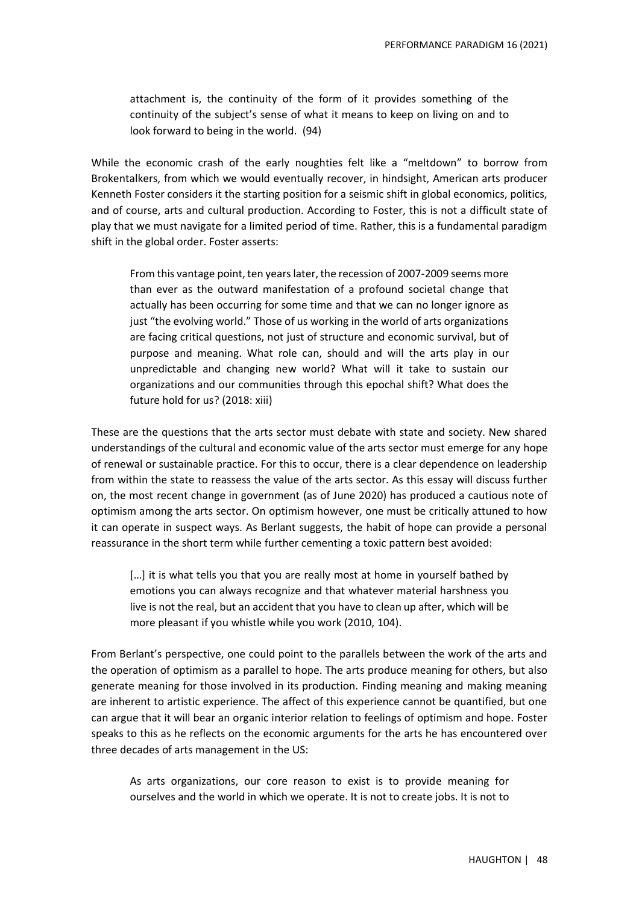attachment is, the continuity of the form of it provides something of the continuity of the subject's sense of what it means to keep on living on and to look forward to being in the world. (94)

While the economic crash of the early noughties felt like a "meltdown" to borrow from Brokentalkers, from which we would eventually recover, in hindsight, American arts producer Kenneth Foster considers it the starting position for a seismic shift in global economics, politics, and of course, arts and cultural production. According to Foster, this is not a difficult state of play that we must navigate for a limited period of time. Rather, this is a fundamental paradigm shift in the global order. Foster asserts:

From this vantage point, ten years later, the recession of 2007-2009 seems more than ever as the outward manifestation of a profound societal change that actually has been occurring for some time and that we can no longer ignore as just "the evolving world." Those of us working in the world of arts organizations are facing critical questions, not just of structure and economic survival, but of purpose and meaning. What role can, should and will the arts play in our unpredictable and changing new world? What will it take to sustain our organizations and our communities through this epochal shift? What does the future hold for us? (2018: xiii)

These are the questions that the arts sector must debate with state and society. New shared understandings of the cultural and economic value of the arts sector must emerge for any hope of renewal or sustainable practice. For this to occur, there is a clear dependence on leadership from within the state to reassess the value of the arts sector. As this essay will discuss further on, the most recent change in government (as of June 2020) has produced a cautious note of optimism among the arts sector. On optimism however, one must be critically attuned to how it can operate in suspect ways. As Berlant suggests, the habit of hope can provide a personal reassurance in the short term while further cementing a toxic pattern best avoided:

[...] it is what tells you that you are really most at home in yourself bathed by emotions you can always recognize and that whatever material harshness you live is not the real, but an accident that you have to clean up after, which will be more pleasant if you whistle while you work (2010, 104).

From Berlant's perspective, one could point to the parallels between the work of the arts and the operation of optimism as a parallel to hope. The arts produce meaning for others, but also generate meaning for those involved in its production. Finding meaning and making meaning are inherent to artistic experience. The affect of this experience cannot be quantified, but one can argue that it will bear an organic interior relation to feelings of optimism and hope. Foster speaks to this as he reflects on the economic arguments for the arts he has encountered over three decades of arts management in the US:

As arts organizations, our core reason to exist is to provide meaning for ourselves and the world in which we operate. It is not to create jobs. It is not to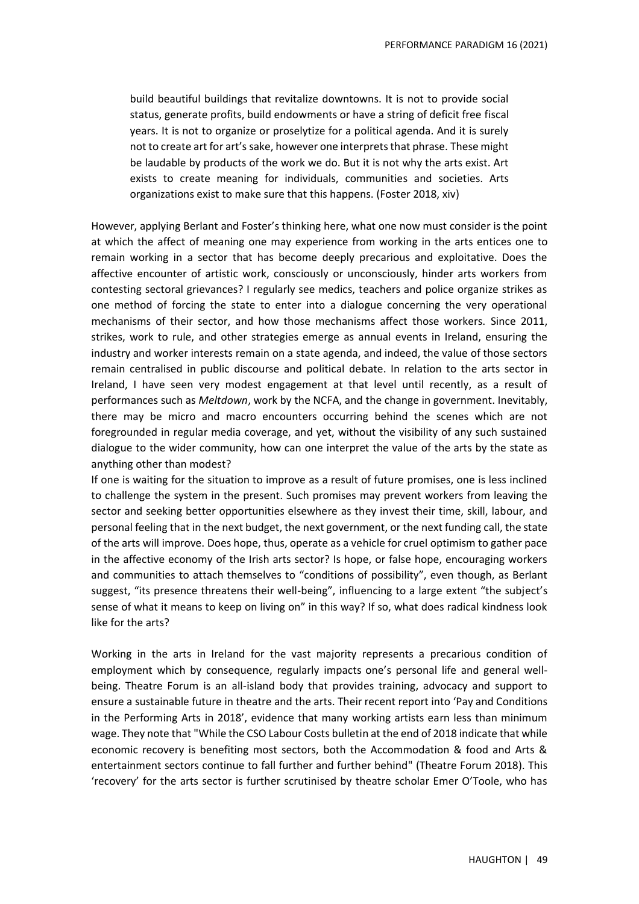build beautiful buildings that revitalize downtowns. It is not to provide social status, generate profits, build endowments or have a string of deficit free fiscal years. It is not to organize or proselytize for a political agenda. And it is surely not to create art for art's sake, however one interprets that phrase. These might be laudable by products of the work we do. But it is not why the arts exist. Art exists to create meaning for individuals, communities and societies. Arts organizations exist to make sure that this happens. (Foster 2018, xiv)

However, applying Berlant and Foster's thinking here, what one now must consider is the point at which the affect of meaning one may experience from working in the arts entices one to remain working in a sector that has become deeply precarious and exploitative. Does the affective encounter of artistic work, consciously or unconsciously, hinder arts workers from contesting sectoral grievances? I regularly see medics, teachers and police organize strikes as one method of forcing the state to enter into a dialogue concerning the very operational mechanisms of their sector, and how those mechanisms affect those workers. Since 2011, strikes, work to rule, and other strategies emerge as annual events in Ireland, ensuring the industry and worker interests remain on a state agenda, and indeed, the value of those sectors remain centralised in public discourse and political debate. In relation to the arts sector in Ireland, I have seen very modest engagement at that level until recently, as a result of performances such as *Meltdown*, work by the NCFA, and the change in government. Inevitably, there may be micro and macro encounters occurring behind the scenes which are not foregrounded in regular media coverage, and yet, without the visibility of any such sustained dialogue to the wider community, how can one interpret the value of the arts by the state as anything other than modest?

If one is waiting for the situation to improve as a result of future promises, one is less inclined to challenge the system in the present. Such promises may prevent workers from leaving the sector and seeking better opportunities elsewhere as they invest their time, skill, labour, and personal feeling that in the next budget, the next government, or the next funding call, the state of the arts will improve. Does hope, thus, operate as a vehicle for cruel optimism to gather pace in the affective economy of the Irish arts sector? Is hope, or false hope, encouraging workers and communities to attach themselves to "conditions of possibility", even though, as Berlant suggest, "its presence threatens their well-being", influencing to a large extent "the subject's sense of what it means to keep on living on" in this way? If so, what does radical kindness look like for the arts?

Working in the arts in Ireland for the vast majority represents a precarious condition of employment which by consequence, regularly impacts one's personal life and general wellbeing. Theatre Forum is an all-island body that provides training, advocacy and support to ensure a sustainable future in theatre and the arts. Their recent report into 'Pay and Conditions in the Performing Arts in 2018', evidence that many working artists earn less than minimum wage. They note that "While the CSO Labour Costs bulletin at the end of 2018 indicate that while economic recovery is benefiting most sectors, both the Accommodation & food and Arts & entertainment sectors continue to fall further and further behind" (Theatre Forum 2018). This 'recovery' for the arts sector is further scrutinised by theatre scholar Emer O'Toole, who has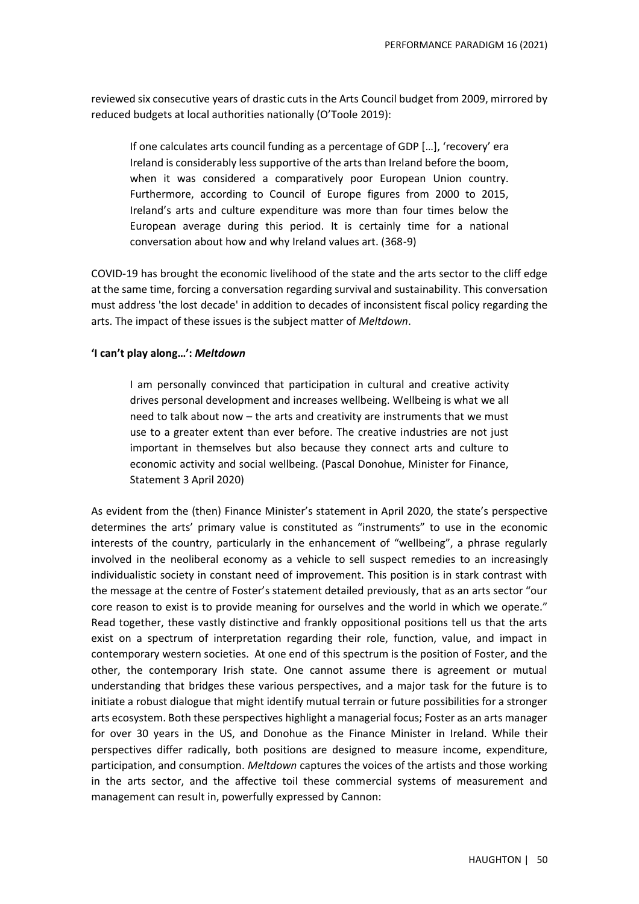reviewed six consecutive years of drastic cuts in the Arts Council budget from 2009, mirrored by reduced budgets at local authorities nationally (O'Toole 2019):

If one calculates arts council funding as a percentage of GDP […], 'recovery' era Ireland is considerably less supportive of the arts than Ireland before the boom, when it was considered a comparatively poor European Union country. Furthermore, according to Council of Europe figures from 2000 to 2015, Ireland's arts and culture expenditure was more than four times below the European average during this period. It is certainly time for a national conversation about how and why Ireland values art. (368-9)

COVID-19 has brought the economic livelihood of the state and the arts sector to the cliff edge at the same time, forcing a conversation regarding survival and sustainability. This conversation must address 'the lost decade' in addition to decades of inconsistent fiscal policy regarding the arts. The impact of these issues is the subject matter of *Meltdown*.

### **'I can't play along…':** *Meltdown*

I am personally convinced that participation in cultural and creative activity drives personal development and increases wellbeing. Wellbeing is what we all need to talk about now – the arts and creativity are instruments that we must use to a greater extent than ever before. The creative industries are not just important in themselves but also because they connect arts and culture to economic activity and social wellbeing. (Pascal Donohue, Minister for Finance, Statement 3 April 2020)

As evident from the (then) Finance Minister's statement in April 2020, the state's perspective determines the arts' primary value is constituted as "instruments" to use in the economic interests of the country, particularly in the enhancement of "wellbeing", a phrase regularly involved in the neoliberal economy as a vehicle to sell suspect remedies to an increasingly individualistic society in constant need of improvement. This position is in stark contrast with the message at the centre of Foster's statement detailed previously, that as an arts sector "our core reason to exist is to provide meaning for ourselves and the world in which we operate." Read together, these vastly distinctive and frankly oppositional positions tell us that the arts exist on a spectrum of interpretation regarding their role, function, value, and impact in contemporary western societies. At one end of this spectrum is the position of Foster, and the other, the contemporary Irish state. One cannot assume there is agreement or mutual understanding that bridges these various perspectives, and a major task for the future is to initiate a robust dialogue that might identify mutual terrain or future possibilities for a stronger arts ecosystem. Both these perspectives highlight a managerial focus; Foster as an arts manager for over 30 years in the US, and Donohue as the Finance Minister in Ireland. While their perspectives differ radically, both positions are designed to measure income, expenditure, participation, and consumption. *Meltdown* captures the voices of the artists and those working in the arts sector, and the affective toil these commercial systems of measurement and management can result in, powerfully expressed by Cannon: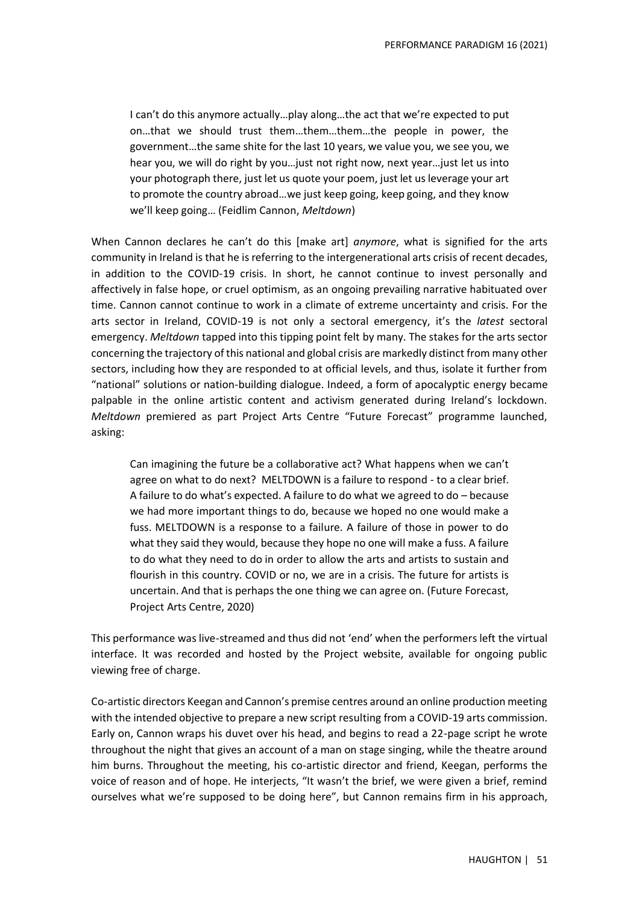I can't do this anymore actually…play along…the act that we're expected to put on…that we should trust them…them…them…the people in power, the government…the same shite for the last 10 years, we value you, we see you, we hear you, we will do right by you…just not right now, next year…just let us into your photograph there, just let us quote your poem, just let us leverage your art to promote the country abroad…we just keep going, keep going, and they know we'll keep going… (Feidlim Cannon, *Meltdown*)

When Cannon declares he can't do this [make art] *anymore*, what is signified for the arts community in Ireland is that he is referring to the intergenerational arts crisis of recent decades, in addition to the COVID-19 crisis. In short, he cannot continue to invest personally and affectively in false hope, or cruel optimism, as an ongoing prevailing narrative habituated over time. Cannon cannot continue to work in a climate of extreme uncertainty and crisis. For the arts sector in Ireland, COVID-19 is not only a sectoral emergency, it's the *latest* sectoral emergency. *Meltdown* tapped into this tipping point felt by many. The stakes for the arts sector concerning the trajectory of this national and global crisis are markedly distinct from many other sectors, including how they are responded to at official levels, and thus, isolate it further from "national" solutions or nation-building dialogue. Indeed, a form of apocalyptic energy became palpable in the online artistic content and activism generated during Ireland's lockdown. *Meltdown* premiered as part Project Arts Centre "Future Forecast" programme launched, asking:

Can imagining the future be a collaborative act? What happens when we can't agree on what to do next? MELTDOWN is a failure to respond - to a clear brief. A failure to do what's expected. A failure to do what we agreed to do – because we had more important things to do, because we hoped no one would make a fuss. MELTDOWN is a response to a failure. A failure of those in power to do what they said they would, because they hope no one will make a fuss. A failure to do what they need to do in order to allow the arts and artists to sustain and flourish in this country. COVID or no, we are in a crisis. The future for artists is uncertain. And that is perhaps the one thing we can agree on. (Future Forecast, Project Arts Centre, 2020)

This performance was live-streamed and thus did not 'end' when the performers left the virtual interface. It was recorded and hosted by the Project website, available for ongoing public viewing free of charge.

Co-artistic directors Keegan and Cannon's premise centres around an online production meeting with the intended objective to prepare a new script resulting from a COVID-19 arts commission. Early on, Cannon wraps his duvet over his head, and begins to read a 22-page script he wrote throughout the night that gives an account of a man on stage singing, while the theatre around him burns. Throughout the meeting, his co-artistic director and friend, Keegan, performs the voice of reason and of hope. He interjects, "It wasn't the brief, we were given a brief, remind ourselves what we're supposed to be doing here", but Cannon remains firm in his approach,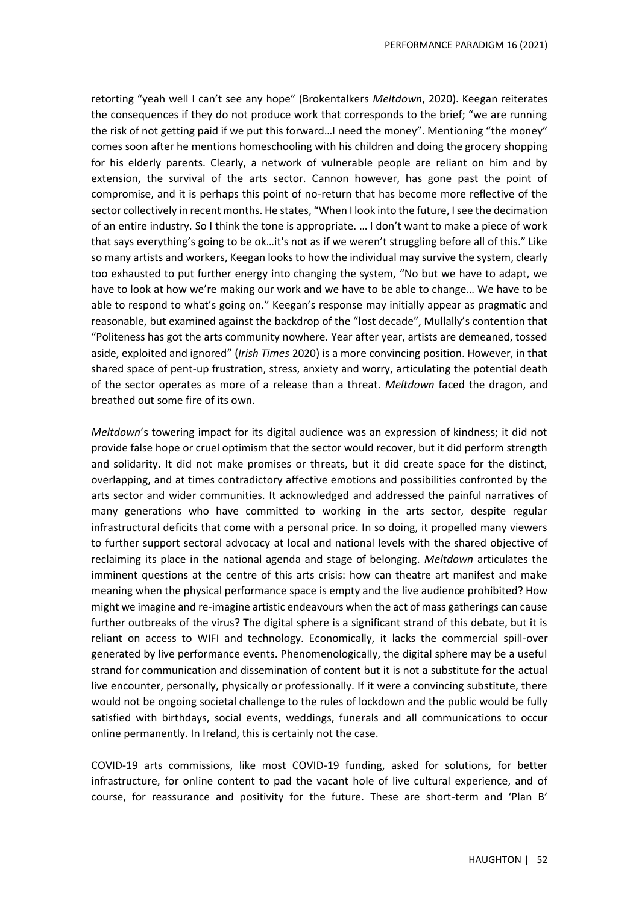retorting "yeah well I can't see any hope" (Brokentalkers *Meltdown*, 2020). Keegan reiterates the consequences if they do not produce work that corresponds to the brief; "we are running the risk of not getting paid if we put this forward…I need the money". Mentioning "the money" comes soon after he mentions homeschooling with his children and doing the grocery shopping for his elderly parents. Clearly, a network of vulnerable people are reliant on him and by extension, the survival of the arts sector. Cannon however, has gone past the point of compromise, and it is perhaps this point of no-return that has become more reflective of the sector collectively in recent months. He states, "When I look into the future, I see the decimation of an entire industry. So I think the tone is appropriate. … I don't want to make a piece of work that says everything's going to be ok…it's not as if we weren't struggling before all of this." Like so many artists and workers, Keegan looks to how the individual may survive the system, clearly too exhausted to put further energy into changing the system, "No but we have to adapt, we have to look at how we're making our work and we have to be able to change… We have to be able to respond to what's going on." Keegan's response may initially appear as pragmatic and reasonable, but examined against the backdrop of the "lost decade", Mullally's contention that "Politeness has got the arts community nowhere. Year after year, artists are demeaned, tossed aside, exploited and ignored" (*Irish Times* 2020) is a more convincing position. However, in that shared space of pent-up frustration, stress, anxiety and worry, articulating the potential death of the sector operates as more of a release than a threat. *Meltdown* faced the dragon, and breathed out some fire of its own.

*Meltdown*'s towering impact for its digital audience was an expression of kindness; it did not provide false hope or cruel optimism that the sector would recover, but it did perform strength and solidarity. It did not make promises or threats, but it did create space for the distinct, overlapping, and at times contradictory affective emotions and possibilities confronted by the arts sector and wider communities. It acknowledged and addressed the painful narratives of many generations who have committed to working in the arts sector, despite regular infrastructural deficits that come with a personal price. In so doing, it propelled many viewers to further support sectoral advocacy at local and national levels with the shared objective of reclaiming its place in the national agenda and stage of belonging. *Meltdown* articulates the imminent questions at the centre of this arts crisis: how can theatre art manifest and make meaning when the physical performance space is empty and the live audience prohibited? How might we imagine and re-imagine artistic endeavours when the act of mass gatherings can cause further outbreaks of the virus? The digital sphere is a significant strand of this debate, but it is reliant on access to WIFI and technology. Economically, it lacks the commercial spill-over generated by live performance events. Phenomenologically, the digital sphere may be a useful strand for communication and dissemination of content but it is not a substitute for the actual live encounter, personally, physically or professionally. If it were a convincing substitute, there would not be ongoing societal challenge to the rules of lockdown and the public would be fully satisfied with birthdays, social events, weddings, funerals and all communications to occur online permanently. In Ireland, this is certainly not the case.

COVID-19 arts commissions, like most COVID-19 funding, asked for solutions, for better infrastructure, for online content to pad the vacant hole of live cultural experience, and of course, for reassurance and positivity for the future. These are short-term and 'Plan B'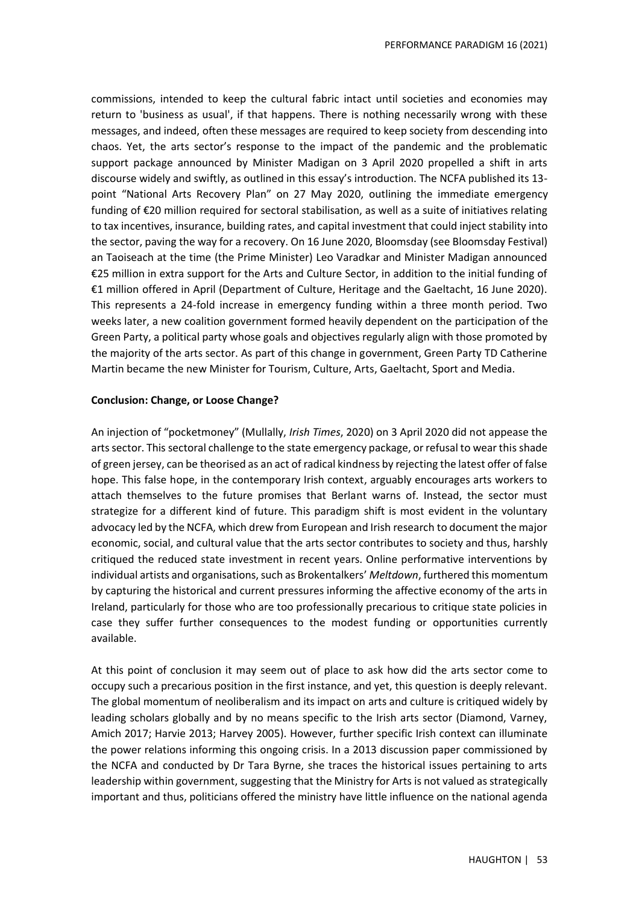commissions, intended to keep the cultural fabric intact until societies and economies may return to 'business as usual', if that happens. There is nothing necessarily wrong with these messages, and indeed, often these messages are required to keep society from descending into chaos. Yet, the arts sector's response to the impact of the pandemic and the problematic support package announced by Minister Madigan on 3 April 2020 propelled a shift in arts discourse widely and swiftly, as outlined in this essay's introduction. The NCFA published its 13 point "National Arts Recovery Plan" on 27 May 2020, outlining the immediate emergency funding of €20 million required for sectoral stabilisation, as well as a suite of initiatives relating to tax incentives, insurance, building rates, and capital investment that could inject stability into the sector, paving the way for a recovery. On 16 June 2020, Bloomsday (see Bloomsday Festival) an Taoiseach at the time (the Prime Minister) Leo Varadkar and Minister Madigan announced €25 million in extra support for the Arts and Culture Sector, in addition to the initial funding of €1 million offered in April (Department of Culture, Heritage and the Gaeltacht, 16 June 2020). This represents a 24-fold increase in emergency funding within a three month period. Two weeks later, a new coalition government formed heavily dependent on the participation of the Green Party, a political party whose goals and objectives regularly align with those promoted by the majority of the arts sector. As part of this change in government, Green Party TD Catherine Martin became the new Minister for Tourism, Culture, Arts, Gaeltacht, Sport and Media.

#### **Conclusion: Change, or Loose Change?**

An injection of "pocketmoney" (Mullally, *Irish Times*, 2020) on 3 April 2020 did not appease the arts sector. This sectoral challenge to the state emergency package, or refusal to wear this shade of green jersey, can be theorised as an act of radical kindness by rejecting the latest offer of false hope. This false hope, in the contemporary Irish context, arguably encourages arts workers to attach themselves to the future promises that Berlant warns of. Instead, the sector must strategize for a different kind of future. This paradigm shift is most evident in the voluntary advocacy led by the NCFA, which drew from European and Irish research to document the major economic, social, and cultural value that the arts sector contributes to society and thus, harshly critiqued the reduced state investment in recent years. Online performative interventions by individual artists and organisations, such as Brokentalkers' *Meltdown*, furthered this momentum by capturing the historical and current pressures informing the affective economy of the arts in Ireland, particularly for those who are too professionally precarious to critique state policies in case they suffer further consequences to the modest funding or opportunities currently available.

At this point of conclusion it may seem out of place to ask how did the arts sector come to occupy such a precarious position in the first instance, and yet, this question is deeply relevant. The global momentum of neoliberalism and its impact on arts and culture is critiqued widely by leading scholars globally and by no means specific to the Irish arts sector (Diamond, Varney, Amich 2017; Harvie 2013; Harvey 2005). However, further specific Irish context can illuminate the power relations informing this ongoing crisis. In a 2013 discussion paper commissioned by the NCFA and conducted by Dr Tara Byrne, she traces the historical issues pertaining to arts leadership within government, suggesting that the Ministry for Arts is not valued as strategically important and thus, politicians offered the ministry have little influence on the national agenda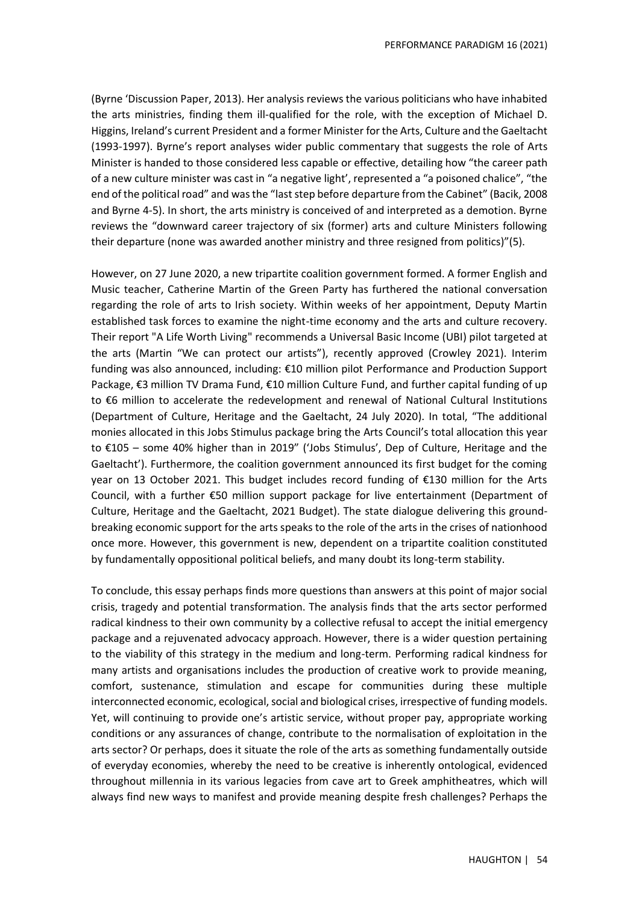(Byrne 'Discussion Paper, 2013). Her analysis reviews the various politicians who have inhabited the arts ministries, finding them ill-qualified for the role, with the exception of Michael D. Higgins, Ireland's current President and a former Minister for the Arts, Culture and the Gaeltacht (1993-1997). Byrne's report analyses wider public commentary that suggests the role of Arts Minister is handed to those considered less capable or effective, detailing how "the career path of a new culture minister was cast in "a negative light', represented a "a poisoned chalice", "the end of the political road" and was the "last step before departure from the Cabinet" (Bacik, 2008 and Byrne 4-5). In short, the arts ministry is conceived of and interpreted as a demotion. Byrne reviews the "downward career trajectory of six (former) arts and culture Ministers following their departure (none was awarded another ministry and three resigned from politics)"(5).

However, on 27 June 2020, a new tripartite coalition government formed. A former English and Music teacher, Catherine Martin of the Green Party has furthered the national conversation regarding the role of arts to Irish society. Within weeks of her appointment, Deputy Martin established task forces to examine the night-time economy and the arts and culture recovery. Their report "A Life Worth Living" recommends a Universal Basic Income (UBI) pilot targeted at the arts (Martin "We can protect our artists"), recently approved (Crowley 2021). Interim funding was also announced, including: €10 million pilot Performance and Production Support Package, €3 million TV Drama Fund, €10 million Culture Fund, and further capital funding of up to €6 million to accelerate the redevelopment and renewal of National Cultural Institutions (Department of Culture, Heritage and the Gaeltacht, 24 July 2020). In total, "The additional monies allocated in this Jobs Stimulus package bring the Arts Council's total allocation this year to €105 – some 40% higher than in 2019" ('Jobs Stimulus', Dep of Culture, Heritage and the Gaeltacht'). Furthermore, the coalition government announced its first budget for the coming year on 13 October 2021. This budget includes record funding of €130 million for the Arts Council, with a further €50 million support package for live entertainment (Department of Culture, Heritage and the Gaeltacht, 2021 Budget). The state dialogue delivering this groundbreaking economic support for the arts speaks to the role of the arts in the crises of nationhood once more. However, this government is new, dependent on a tripartite coalition constituted by fundamentally oppositional political beliefs, and many doubt its long-term stability.

To conclude, this essay perhaps finds more questions than answers at this point of major social crisis, tragedy and potential transformation. The analysis finds that the arts sector performed radical kindness to their own community by a collective refusal to accept the initial emergency package and a rejuvenated advocacy approach. However, there is a wider question pertaining to the viability of this strategy in the medium and long-term. Performing radical kindness for many artists and organisations includes the production of creative work to provide meaning, comfort, sustenance, stimulation and escape for communities during these multiple interconnected economic, ecological, social and biological crises, irrespective of funding models. Yet, will continuing to provide one's artistic service, without proper pay, appropriate working conditions or any assurances of change, contribute to the normalisation of exploitation in the arts sector? Or perhaps, does it situate the role of the arts as something fundamentally outside of everyday economies, whereby the need to be creative is inherently ontological, evidenced throughout millennia in its various legacies from cave art to Greek amphitheatres, which will always find new ways to manifest and provide meaning despite fresh challenges? Perhaps the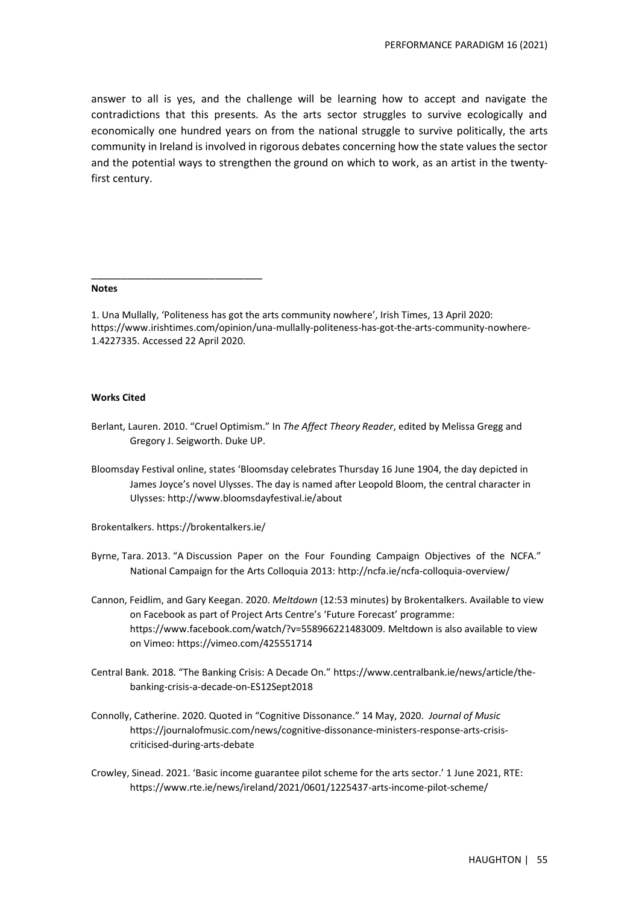answer to all is yes, and the challenge will be learning how to accept and navigate the contradictions that this presents. As the arts sector struggles to survive ecologically and economically one hundred years on from the national struggle to survive politically, the arts community in Ireland is involved in rigorous debates concerning how the state values the sector and the potential ways to strengthen the ground on which to work, as an artist in the twentyfirst century.

#### **Notes**

1. Una Mullally, 'Politeness has got the arts community nowhere', Irish Times, 13 April 2020: https://www.irishtimes.com/opinion/una-mullally-politeness-has-got-the-arts-community-nowhere-1.4227335. Accessed 22 April 2020.

#### **Works Cited**

- Berlant, Lauren. 2010. "Cruel Optimism." In *The Affect Theory Reader*, edited by Melissa Gregg and Gregory J. Seigworth. Duke UP.
- Bloomsday Festival online, states 'Bloomsday celebrates Thursday 16 June 1904, the day depicted in James Joyce's novel Ulysses. The day is named after Leopold Bloom, the central character in Ulysses:<http://www.bloomsdayfestival.ie/about>

Brokentalkers.<https://brokentalkers.ie/>

\_\_\_\_\_\_\_\_\_\_\_\_\_\_\_\_\_\_\_\_\_\_\_\_\_\_\_\_\_

- Byrne, Tara. 2013. "A Discussion Paper on the Four Founding Campaign Objectives of the NCFA." National Campaign for the Arts Colloquia 2013[: http://ncfa.ie/ncfa-colloquia-overview/](http://ncfa.ie/ncfa-colloquia-overview/)
- Cannon, Feidlim, and Gary Keegan. 2020. *Meltdown* (12:53 minutes) by Brokentalkers. Available to view on Facebook as part of Project Arts Centre's 'Future Forecast' programme: [https://www.facebook.com/watch/?v=558966221483009.](https://www.facebook.com/watch/?v=558966221483009) Meltdown is also available to view on Vimeo:<https://vimeo.com/425551714>
- Central Bank. 2018. "The Banking Crisis: A Decade On." [https://www.centralbank.ie/news/article/the](https://www.centralbank.ie/news/article/the-banking-crisis-a-decade-on-ES12Sept2018)[banking-crisis-a-decade-on-ES12Sept2018](https://www.centralbank.ie/news/article/the-banking-crisis-a-decade-on-ES12Sept2018)
- Connolly, Catherine. 2020. Quoted in "Cognitive Dissonance." 14 May, 2020. *Journal of Music*  [https://journalofmusic.com/news/cognitive-dissonance-ministers-response-arts-crisis](https://journalofmusic.com/news/cognitive-dissonance-ministers-response-arts-crisis-criticised-during-arts-debate)[criticised-during-arts-debate](https://journalofmusic.com/news/cognitive-dissonance-ministers-response-arts-crisis-criticised-during-arts-debate)
- Crowley, Sinead. 2021. 'Basic income guarantee pilot scheme for the arts sector.' 1 June 2021, RTE: https://www.rte.ie/news/ireland/2021/0601/1225437-arts-income-pilot-scheme/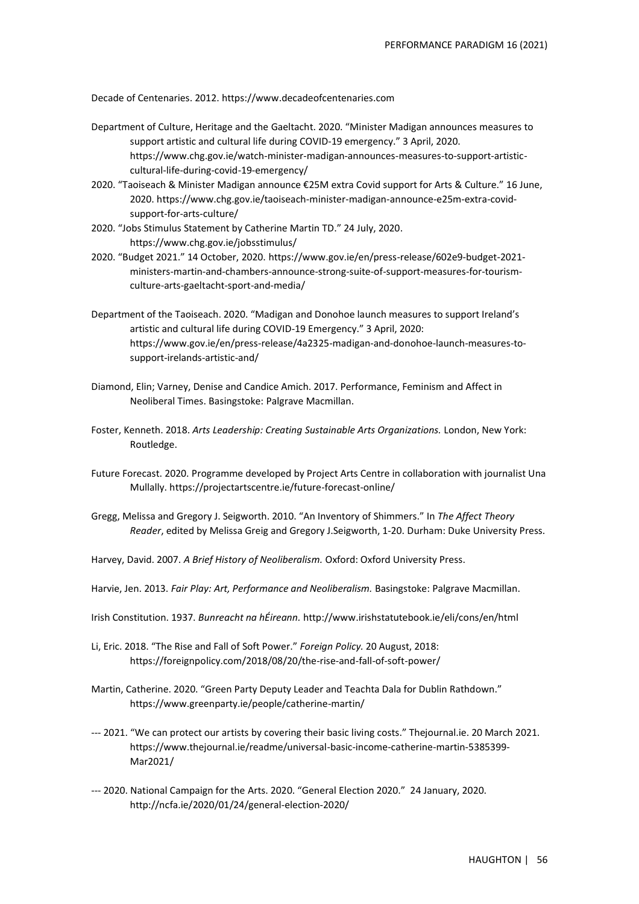Decade of Centenaries. 2012. https://www.decadeofcentenaries.com

- Department of Culture, Heritage and the Gaeltacht. 2020. "Minister Madigan announces measures to support artistic and cultural life during COVID-19 emergency." 3 April, 2020. https://www.chg.gov.ie/watch-minister-madigan-announces-measures-to-support-artisticcultural-life-during-covid-19-emergency/
- 2020. "Taoiseach & Minister Madigan announce €25M extra Covid support for Arts & Culture." 16 June, 2020. https://www.chg.gov.ie/taoiseach-minister-madigan-announce-e25m-extra-covidsupport-for-arts-culture/
- 2020. "Jobs Stimulus Statement by Catherine Martin TD." 24 July, 2020. https://www.chg.gov.ie/jobsstimulus/
- 2020. "Budget 2021." 14 October, 2020. https://www.gov.ie/en/press-release/602e9-budget-2021 ministers-martin-and-chambers-announce-strong-suite-of-support-measures-for-tourismculture-arts-gaeltacht-sport-and-media/
- Department of the Taoiseach. 2020. "Madigan and Donohoe launch measures to support Ireland's artistic and cultural life during COVID-19 Emergency." 3 April, 2020: https://www.gov.ie/en/press-release/4a2325-madigan-and-donohoe-launch-measures-tosupport-irelands-artistic-and/
- Diamond, Elin; Varney, Denise and Candice Amich. 2017. Performance, Feminism and Affect in Neoliberal Times. Basingstoke: Palgrave Macmillan.
- Foster, Kenneth. 2018. *Arts Leadership: Creating Sustainable Arts Organizations.* London, New York: Routledge.
- Future Forecast. 2020. Programme developed by Project Arts Centre in collaboration with journalist Una Mullally. https://projectartscentre.ie/future-forecast-online/
- Gregg, Melissa and Gregory J. Seigworth. 2010. "An Inventory of Shimmers." In *The Affect Theory Reader*, edited by Melissa Greig and Gregory J.Seigworth, 1-20. Durham: Duke University Press.
- Harvey, David. 2007. *A Brief History of Neoliberalism.* Oxford: Oxford University Press.
- Harvie, Jen. 2013. *Fair Play: Art, Performance and Neoliberalism.* Basingstoke: Palgrave Macmillan.
- Irish Constitution. 1937. *Bunreacht na hÉireann.* http://www.irishstatutebook.ie/eli/cons/en/html
- Li, Eric. 2018. "The Rise and Fall of Soft Power." *Foreign Policy.* 20 August, 2018: https://foreignpolicy.com/2018/08/20/the-rise-and-fall-of-soft-power/
- Martin, Catherine. 2020. "Green Party Deputy Leader and Teachta Dala for Dublin Rathdown." https://www.greenparty.ie/people/catherine-martin/
- --- 2021. "We can protect our artists by covering their basic living costs." Thejournal.ie. 20 March 2021. https://www.thejournal.ie/readme/universal-basic-income-catherine-martin-5385399- Mar2021/
- --- 2020. National Campaign for the Arts. 2020. "General Election 2020." 24 January, 2020. http://ncfa.ie/2020/01/24/general-election-2020/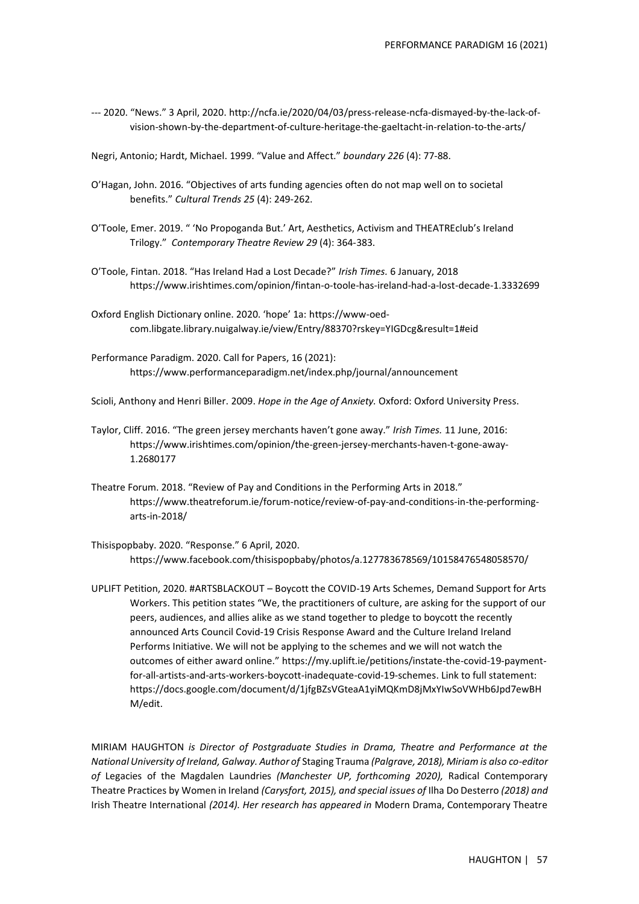--- 2020. "News." 3 April, 2020. http://ncfa.ie/2020/04/03/press-release-ncfa-dismayed-by-the-lack-ofvision-shown-by-the-department-of-culture-heritage-the-gaeltacht-in-relation-to-the-arts/

Negri, Antonio; Hardt, Michael. 1999. "Value and Affect." *boundary 226* (4): 77-88.

- O'Hagan, John. 2016. "Objectives of arts funding agencies often do not map well on to societal benefits." *Cultural Trends 25* (4): 249-262.
- O'Toole, Emer. 2019. " 'No Propoganda But.' Art, Aesthetics, Activism and THEATREclub's Ireland Trilogy." *Contemporary Theatre Review 29* (4): 364-383.
- O'Toole, Fintan. 2018. "Has Ireland Had a Lost Decade?" *Irish Times.* 6 January, 2018 https://www.irishtimes.com/opinion/fintan-o-toole-has-ireland-had-a-lost-decade-1.3332699
- Oxford English Dictionary online. 2020. 'hope' 1a: https://www-oedcom.libgate.library.nuigalway.ie/view/Entry/88370?rskey=YIGDcg&result=1#eid
- Performance Paradigm. 2020. Call for Papers, 16 (2021): https://www.performanceparadigm.net/index.php/journal/announcement

Scioli, Anthony and Henri Biller. 2009. *Hope in the Age of Anxiety.* Oxford: Oxford University Press.

- Taylor, Cliff. 2016. "The green jersey merchants haven't gone away." *Irish Times.* 11 June, 2016: https://www.irishtimes.com/opinion/the-green-jersey-merchants-haven-t-gone-away-1.2680177
- Theatre Forum. 2018. "Review of Pay and Conditions in the Performing Arts in 2018." https://www.theatreforum.ie/forum-notice/review-of-pay-and-conditions-in-the-performingarts-in-2018/
- Thisispopbaby. 2020. "Response." 6 April, 2020. https://www.facebook.com/thisispopbaby/photos/a.127783678569/10158476548058570/
- UPLIFT Petition, 2020. #ARTSBLACKOUT Boycott the COVID-19 Arts Schemes, Demand Support for Arts Workers. This petition states "We, the practitioners of culture, are asking for the support of our peers, audiences, and allies alike as we stand together to pledge to boycott the recently announced Arts Council Covid-19 Crisis Response Award and the Culture Ireland Ireland Performs Initiative. We will not be applying to the schemes and we will not watch the outcomes of either award online." https://my.uplift.ie/petitions/instate-the-covid-19-paymentfor-all-artists-and-arts-workers-boycott-inadequate-covid-19-schemes. Link to full statement: https://docs.google.com/document/d/1jfgBZsVGteaA1yiMQKmD8jMxYIwSoVWHb6Jpd7ewBH M/edit.

MIRIAM HAUGHTON *is Director of Postgraduate Studies in Drama, Theatre and Performance at the National University of Ireland, Galway. Author of* Staging Trauma *(Palgrave, 2018), Miriam is also co-editor of* Legacies of the Magdalen Laundries *(Manchester UP, forthcoming 2020),* Radical Contemporary Theatre Practices by Women in Ireland *(Carysfort, 2015), and special issues of* Ilha Do Desterro *(2018) and*  Irish Theatre International *(2014). Her research has appeared in* Modern Drama, Contemporary Theatre